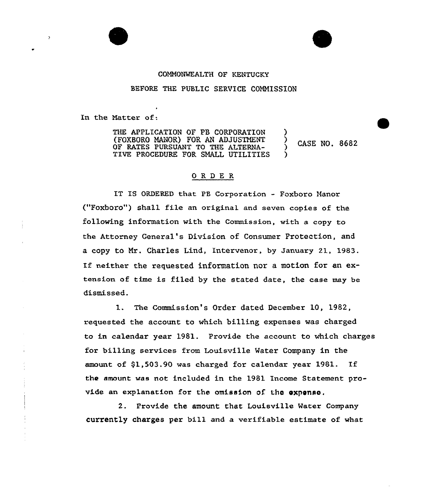## COMNONMEALTH OF KENTUCKY

## BEFORE THE PUBLIC SERVICE COMMISSION

In the Natter of:

THE APPLICATION OF PB CORPORATION (FOXBORO MANOR) FOR AN ADJUSTMENT OF RATES PURSUANT TO THE ALTERNA-TIVE PROCEDURE FOR SMALL UTILITIES ) ) CASE NO. 8682 )

## ORDER

IT IS ORDERED that PB Corporation - Foxboro Manor ("Foxboro") shall file an original and seven copies of the following information with the Commission, with a copy to the Attorney General's Division of Consumer Protection, and a copy to Mr. Charles Lind, Intervenor, by January 21, 1983. If neither the requested information nor <sup>a</sup> motion for an extension of time is filed by the stated date, the case may be dismissed.

1. The Commission's Oxder dated December l0, 1982, requested the account to which billing expenses was charged to in calendar year 1981. Provide the account to which charges for billing services from Louisville Water Company in the amount of \$1,503.90 was charged for calendar year 1981. If the amount was not included in the 1981 Income Statement provide an explanation for the omission of tha oxponsa,

2. Provide the amount that Louisville Mater Company currently charges per bill and a verifiable estimate of what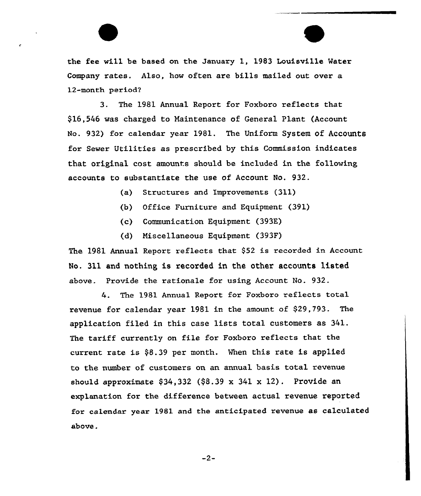the fee will be based on the January 1, 1983 Louisville Water Company rates. Also, how often are bills mailed out over a 12-month period?

3. The 1981 Annual Report for Foxboro reflects that \$16,546 was charged to Maintenance of General Plant (Account No. 932) for calendar year 1981. The Uniform System Of Accounts for Sewer Utilities as prescribed by this Commission indicates that original cost amounts should be included in the following accounts to substantiate the use of Account No. 932.

- (a) Structures and Improvements (311)
- (b) Office Furniture and Equipment (391)
- (c) Communication Equipment (393K)
- (d) Miscellaneous Equipment (393F)

The 1981 Annual Report reflects that \$52 is recorded in Account No. 311 and nothing, is recorded in the other accounts listed above. Provide the rationale for using Account No. 932.

4. The 1981 Annual Report for Foxboro reflects total revenue for calendar year 1981 in the amount of \$29,793. The application filed in this case lists total customers as 341. The tariff currently on file for Foxboro reflects that the current rate is \$8.39 per month. When this rate is applied to the number of customers on an annual basis total revenue should approximate  $$34,332$  ( $$8.39 \times 341 \times 12$ ). Provide an explanation for the difference between actual revenue reported for calendar year 1981 and the anticipated revenue as calculated above.

 $-2-$